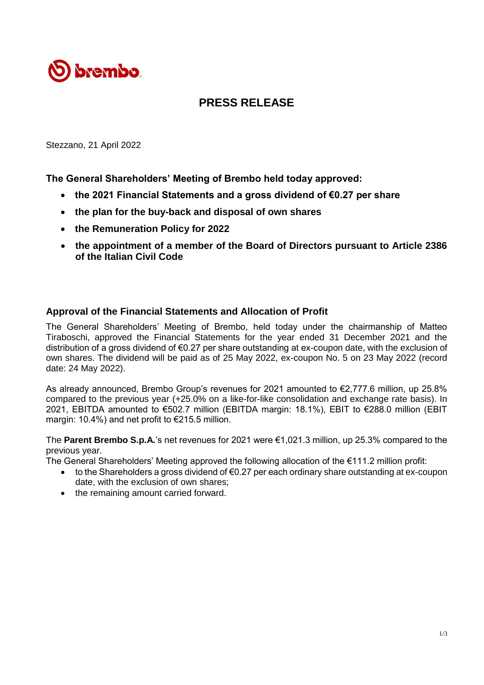

# **PRESS RELEASE**

Stezzano, 21 April 2022

**The General Shareholders' Meeting of Brembo held today approved:**

- **the 2021 Financial Statements and a gross dividend of €0.27 per share**
- **the plan for the buy-back and disposal of own shares**
- **the Remuneration Policy for 2022**
- **the appointment of a member of the Board of Directors pursuant to Article 2386 of the Italian Civil Code**

## **Approval of the Financial Statements and Allocation of Profit**

The General Shareholders' Meeting of Brembo, held today under the chairmanship of Matteo Tiraboschi, approved the Financial Statements for the year ended 31 December 2021 and the distribution of a gross dividend of €0.27 per share outstanding at ex-coupon date, with the exclusion of own shares. The dividend will be paid as of 25 May 2022, ex-coupon No. 5 on 23 May 2022 (record date: 24 May 2022).

As already announced, Brembo Group's revenues for 2021 amounted to €2,777.6 million, up 25.8% compared to the previous year (+25.0% on a like-for-like consolidation and exchange rate basis). In 2021, EBITDA amounted to €502.7 million (EBITDA margin: 18.1%), EBIT to €288.0 million (EBIT margin: 10.4%) and net profit to €215.5 million.

The **Parent Brembo S.p.A.**'s net revenues for 2021 were €1,021.3 million, up 25.3% compared to the previous year.

The General Shareholders' Meeting approved the following allocation of the  $\epsilon$ 111.2 million profit:

- to the Shareholders a gross dividend of €0.27 per each ordinary share outstanding at ex-coupon date, with the exclusion of own shares;
- the remaining amount carried forward.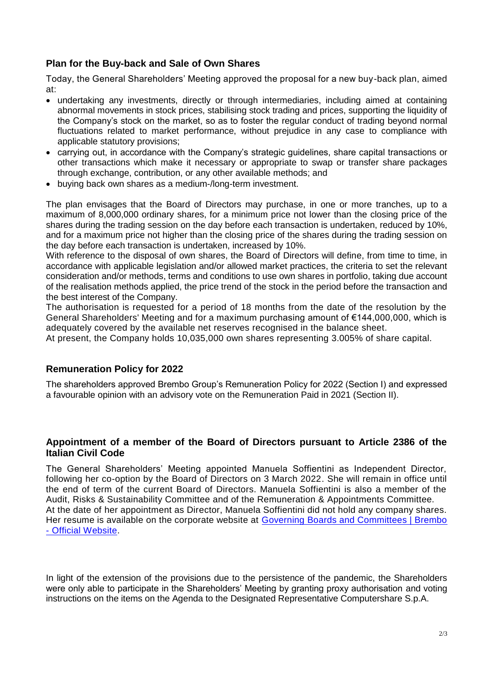# **Plan for the Buy-back and Sale of Own Shares**

Today, the General Shareholders' Meeting approved the proposal for a new buy-back plan, aimed at:

- undertaking any investments, directly or through intermediaries, including aimed at containing abnormal movements in stock prices, stabilising stock trading and prices, supporting the liquidity of the Company's stock on the market, so as to foster the regular conduct of trading beyond normal fluctuations related to market performance, without prejudice in any case to compliance with applicable statutory provisions;
- carrying out, in accordance with the Company's strategic guidelines, share capital transactions or other transactions which make it necessary or appropriate to swap or transfer share packages through exchange, contribution, or any other available methods; and
- buying back own shares as a medium-/long-term investment.

The plan envisages that the Board of Directors may purchase, in one or more tranches, up to a maximum of 8,000,000 ordinary shares, for a minimum price not lower than the closing price of the shares during the trading session on the day before each transaction is undertaken, reduced by 10%, and for a maximum price not higher than the closing price of the shares during the trading session on the day before each transaction is undertaken, increased by 10%.

With reference to the disposal of own shares, the Board of Directors will define, from time to time, in accordance with applicable legislation and/or allowed market practices, the criteria to set the relevant consideration and/or methods, terms and conditions to use own shares in portfolio, taking due account of the realisation methods applied, the price trend of the stock in the period before the transaction and the best interest of the Company.

The authorisation is requested for a period of 18 months from the date of the resolution by the General Shareholders' Meeting and for a maximum purchasing amount of €144,000,000, which is adequately covered by the available net reserves recognised in the balance sheet.

At present, the Company holds 10,035,000 own shares representing 3.005% of share capital.

#### **Remuneration Policy for 2022**

The shareholders approved Brembo Group's Remuneration Policy for 2022 (Section I) and expressed a favourable opinion with an advisory vote on the Remuneration Paid in 2021 (Section II).

## **Appointment of a member of the Board of Directors pursuant to Article 2386 of the Italian Civil Code**

The General Shareholders' Meeting appointed Manuela Soffientini as Independent Director, following her co-option by the Board of Directors on 3 March 2022. She will remain in office until the end of term of the current Board of Directors. Manuela Soffientini is also a member of the Audit, Risks & Sustainability Committee and of the Remuneration & Appointments Committee. At the date of her appointment as Director, Manuela Soffientini did not hold any company shares. Her resume is available on the corporate website at [Governing Boards and Committees | Brembo](https://www.brembo.com/en/company/corporate-governance/governing-boards-and-committees)  - [Official Website.](https://www.brembo.com/en/company/corporate-governance/governing-boards-and-committees)

In light of the extension of the provisions due to the persistence of the pandemic, the Shareholders were only able to participate in the Shareholders' Meeting by granting proxy authorisation and voting instructions on the items on the Agenda to the Designated Representative Computershare S.p.A.